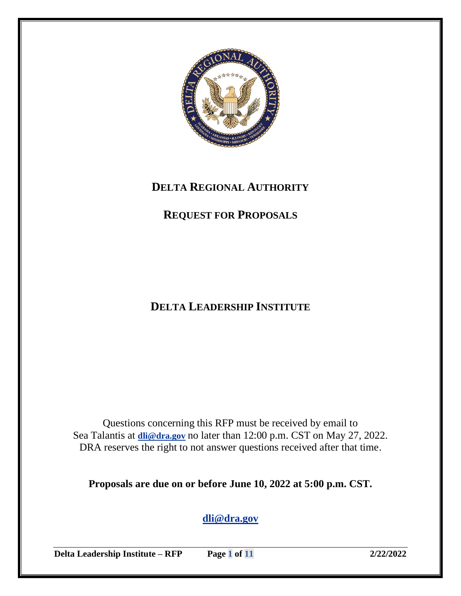

# **DELTA REGIONAL AUTHORITY**

# **REQUEST FOR PROPOSALS**

# **DELTA LEADERSHIP INSTITUTE**

Questions concerning this RFP must be received by email to Sea Talantis at **[dli@dra.gov](mailto:dli@dra.gov)** no later than 12:00 p.m. CST on May 27, 2022. DRA reserves the right to not answer questions received after that time.

**Proposals are due on or before June 10, 2022 at 5:00 p.m. CST.**

**[dli@dra.gov](mailto:dli@dra.gov)**

**Delta Leadership Institute – RFP Page 1 of 11 2/22/2022**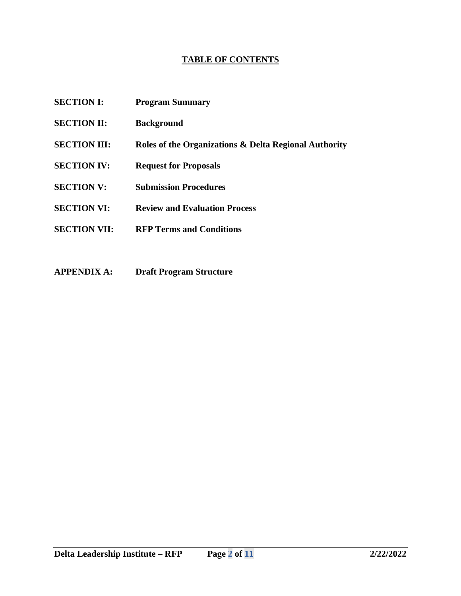# **TABLE OF CONTENTS**

- **SECTION I: Program Summary**
- **SECTION II: Background**
- **SECTION III: Roles of the Organizations & Delta Regional Authority**
- **SECTION IV: Request for Proposals**
- **SECTION V: Submission Procedures**
- **SECTION VI: Review and Evaluation Process**
- **SECTION VII: RFP Terms and Conditions**
- **APPENDIX A: Draft Program Structure**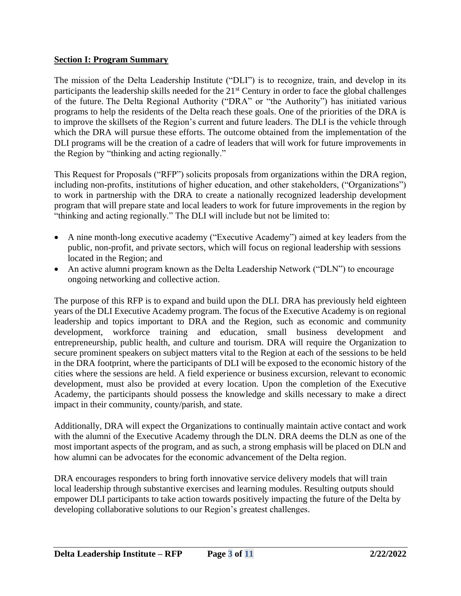# **Section I: Program Summary**

The mission of the Delta Leadership Institute ("DLI") is to recognize, train, and develop in its participants the leadership skills needed for the 21<sup>st</sup> Century in order to face the global challenges of the future. The Delta Regional Authority ("DRA" or "the Authority") has initiated various programs to help the residents of the Delta reach these goals. One of the priorities of the DRA is to improve the skillsets of the Region's current and future leaders. The DLI is the vehicle through which the DRA will pursue these efforts. The outcome obtained from the implementation of the DLI programs will be the creation of a cadre of leaders that will work for future improvements in the Region by "thinking and acting regionally."

This Request for Proposals ("RFP") solicits proposals from organizations within the DRA region, including non-profits, institutions of higher education, and other stakeholders, ("Organizations") to work in partnership with the DRA to create a nationally recognized leadership development program that will prepare state and local leaders to work for future improvements in the region by "thinking and acting regionally." The DLI will include but not be limited to:

- A nine month-long executive academy ("Executive Academy") aimed at key leaders from the public, non-profit, and private sectors, which will focus on regional leadership with sessions located in the Region; and
- An active alumni program known as the Delta Leadership Network ("DLN") to encourage ongoing networking and collective action.

The purpose of this RFP is to expand and build upon the DLI. DRA has previously held eighteen years of the DLI Executive Academy program. The focus of the Executive Academy is on regional leadership and topics important to DRA and the Region, such as economic and community development, workforce training and education, small business development and entrepreneurship, public health, and culture and tourism. DRA will require the Organization to secure prominent speakers on subject matters vital to the Region at each of the sessions to be held in the DRA footprint, where the participants of DLI will be exposed to the economic history of the cities where the sessions are held. A field experience or business excursion, relevant to economic development, must also be provided at every location. Upon the completion of the Executive Academy, the participants should possess the knowledge and skills necessary to make a direct impact in their community, county/parish, and state.

Additionally, DRA will expect the Organizations to continually maintain active contact and work with the alumni of the Executive Academy through the DLN. DRA deems the DLN as one of the most important aspects of the program, and as such, a strong emphasis will be placed on DLN and how alumni can be advocates for the economic advancement of the Delta region.

DRA encourages responders to bring forth innovative service delivery models that will train local leadership through substantive exercises and learning modules. Resulting outputs should empower DLI participants to take action towards positively impacting the future of the Delta by developing collaborative solutions to our Region's greatest challenges.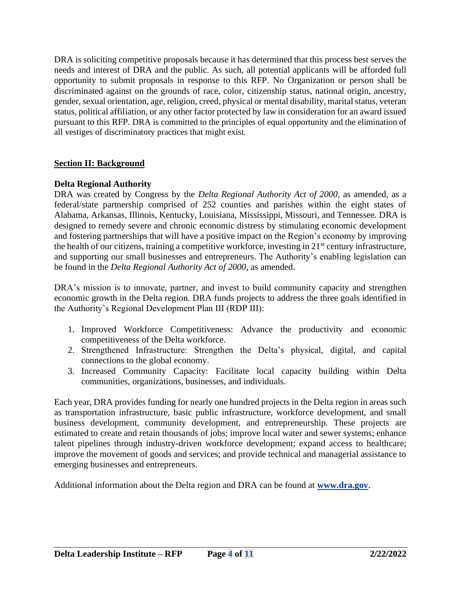DRA is soliciting competitive proposals because it has determined that this process best serves the needs and interest of DRA and the public. As such, all potential applicants will be afforded full opportunity to submit proposals in response to this RFP. No Organization or person shall be discriminated against on the grounds of race, color, citizenship status, national origin, ancestry, gender, sexual orientation, age, religion, creed, physical or mental disability, marital status, veteran status, political affiliation, or any other factor protected by law in consideration for an award issued pursuant to this RFP. DRA is committed to the principles of equal opportunity and the elimination of all vestiges of discriminatory practices that might exist.

# **Section II: Background**

# **Delta Regional Authority**

DRA was created by Congress by the *Delta Regional Authority Act of 2000*, as amended, as a federal/state partnership comprised of 252 counties and parishes within the eight states of Alabama, Arkansas, Illinois, Kentucky, Louisiana, Mississippi, Missouri, and Tennessee. DRA is designed to remedy severe and chronic economic distress by stimulating economic development and fostering partnerships that will have a positive impact on the Region's economy by improving the health of our citizens, training a competitive workforce, investing in 21st century infrastructure, and supporting our small businesses and entrepreneurs. The Authority's enabling legislation can be found in the *Delta Regional Authority Act of 2000*, as amended.

DRA's mission is to innovate, partner, and invest to build community capacity and strengthen economic growth in the Delta region. DRA funds projects to address the three goals identified in the Authority's Regional Development Plan III (RDP III):

- 1. Improved Workforce Competitiveness: Advance the productivity and economic competitiveness of the Delta workforce.
- 2. Strengthened Infrastructure: Strengthen the Delta's physical, digital, and capital connections to the global economy.
- 3. Increased Community Capacity: Facilitate local capacity building within Delta communities, organizations, businesses, and individuals.

Each year, DRA provides funding for nearly one hundred projects in the Delta region in areas such as transportation infrastructure, basic public infrastructure, workforce development, and small business development, community development, and entrepreneurship. These projects are estimated to create and retain thousands of jobs; improve local water and sewer systems; enhance talent pipelines through industry-driven workforce development; expand access to healthcare; improve the movement of goods and services; and provide technical and managerial assistance to emerging businesses and entrepreneurs.

Additional information about the Delta region and DRA can be found at **[www.dra.gov](http://www.dra.gov/)**.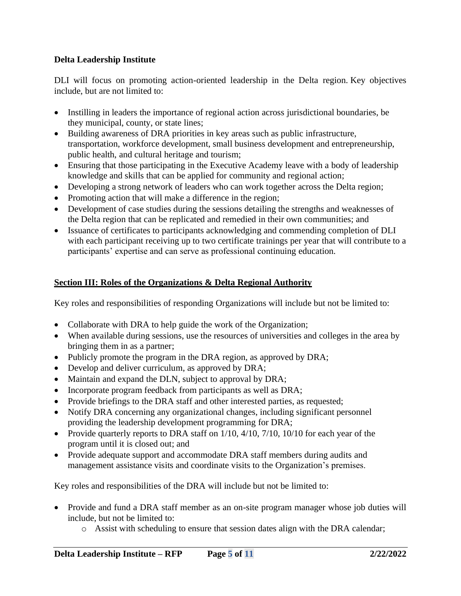# **Delta Leadership Institute**

DLI will focus on promoting action-oriented leadership in the Delta region. Key objectives include, but are not limited to:

- Instilling in leaders the importance of regional action across jurisdictional boundaries, be they municipal, county, or state lines;
- Building awareness of DRA priorities in key areas such as public infrastructure, transportation, workforce development, small business development and entrepreneurship, public health, and cultural heritage and tourism;
- Ensuring that those participating in the Executive Academy leave with a body of leadership knowledge and skills that can be applied for community and regional action;
- Developing a strong network of leaders who can work together across the Delta region;
- Promoting action that will make a difference in the region;
- Development of case studies during the sessions detailing the strengths and weaknesses of the Delta region that can be replicated and remedied in their own communities; and
- Issuance of certificates to participants acknowledging and commending completion of DLI with each participant receiving up to two certificate trainings per year that will contribute to a participants' expertise and can serve as professional continuing education.

# **Section III: Roles of the Organizations & Delta Regional Authority**

Key roles and responsibilities of responding Organizations will include but not be limited to:

- Collaborate with DRA to help guide the work of the Organization;
- When available during sessions, use the resources of universities and colleges in the area by bringing them in as a partner;
- Publicly promote the program in the DRA region, as approved by DRA;
- Develop and deliver curriculum, as approved by DRA;
- Maintain and expand the DLN, subject to approval by DRA;
- Incorporate program feedback from participants as well as DRA;
- Provide briefings to the DRA staff and other interested parties, as requested;
- Notify DRA concerning any organizational changes, including significant personnel providing the leadership development programming for DRA;
- Provide quarterly reports to DRA staff on  $1/10$ ,  $4/10$ ,  $7/10$ ,  $10/10$  for each year of the program until it is closed out; and
- Provide adequate support and accommodate DRA staff members during audits and management assistance visits and coordinate visits to the Organization's premises.

Key roles and responsibilities of the DRA will include but not be limited to:

- Provide and fund a DRA staff member as an on-site program manager whose job duties will include, but not be limited to:
	- o Assist with scheduling to ensure that session dates align with the DRA calendar;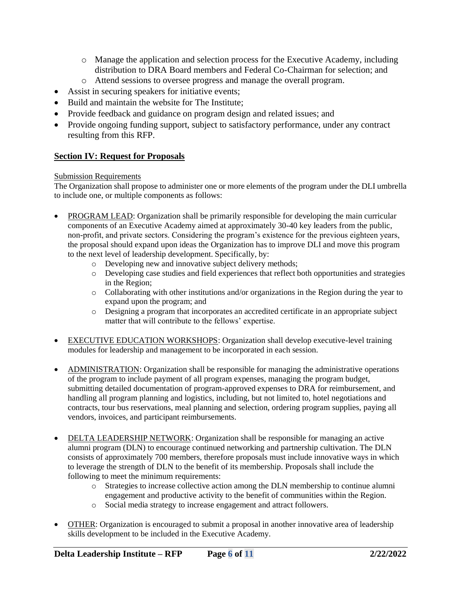- o Manage the application and selection process for the Executive Academy, including distribution to DRA Board members and Federal Co-Chairman for selection; and
- o Attend sessions to oversee progress and manage the overall program.
- Assist in securing speakers for initiative events;
- Build and maintain the website for The Institute;
- Provide feedback and guidance on program design and related issues; and
- Provide ongoing funding support, subject to satisfactory performance, under any contract resulting from this RFP.

# **Section IV: Request for Proposals**

### Submission Requirements

The Organization shall propose to administer one or more elements of the program under the DLI umbrella to include one, or multiple components as follows:

- PROGRAM LEAD: Organization shall be primarily responsible for developing the main curricular components of an Executive Academy aimed at approximately 30-40 key leaders from the public, non-profit, and private sectors. Considering the program's existence for the previous eighteen years, the proposal should expand upon ideas the Organization has to improve DLI and move this program to the next level of leadership development. Specifically, by:
	- o Developing new and innovative subject delivery methods;
	- o Developing case studies and field experiences that reflect both opportunities and strategies in the Region;
	- $\circ$  Collaborating with other institutions and/or organizations in the Region during the year to expand upon the program; and
	- o Designing a program that incorporates an accredited certificate in an appropriate subject matter that will contribute to the fellows' expertise.
- EXECUTIVE EDUCATION WORKSHOPS: Organization shall develop executive-level training modules for leadership and management to be incorporated in each session.
- ADMINISTRATION: Organization shall be responsible for managing the administrative operations of the program to include payment of all program expenses, managing the program budget, submitting detailed documentation of program-approved expenses to DRA for reimbursement, and handling all program planning and logistics, including, but not limited to, hotel negotiations and contracts, tour bus reservations, meal planning and selection, ordering program supplies, paying all vendors, invoices, and participant reimbursements.
- DELTA LEADERSHIP NETWORK: Organization shall be responsible for managing an active alumni program (DLN) to encourage continued networking and partnership cultivation. The DLN consists of approximately 700 members, therefore proposals must include innovative ways in which to leverage the strength of DLN to the benefit of its membership. Proposals shall include the following to meet the minimum requirements:
	- o Strategies to increase collective action among the DLN membership to continue alumni engagement and productive activity to the benefit of communities within the Region.
	- o Social media strategy to increase engagement and attract followers.
- OTHER: Organization is encouraged to submit a proposal in another innovative area of leadership skills development to be included in the Executive Academy.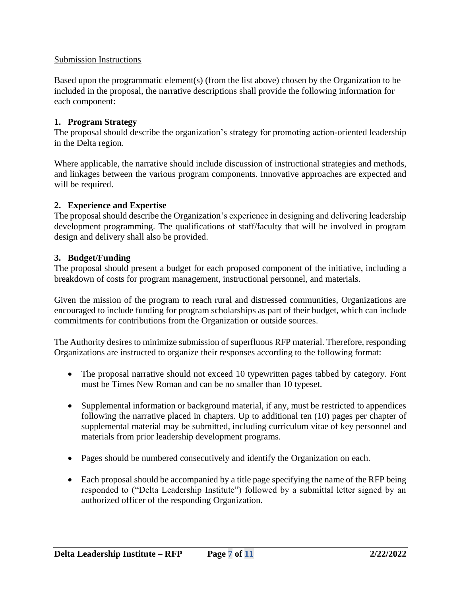# Submission Instructions

Based upon the programmatic element(s) (from the list above) chosen by the Organization to be included in the proposal, the narrative descriptions shall provide the following information for each component:

## **1. Program Strategy**

The proposal should describe the organization's strategy for promoting action-oriented leadership in the Delta region.

Where applicable, the narrative should include discussion of instructional strategies and methods, and linkages between the various program components. Innovative approaches are expected and will be required.

## **2. Experience and Expertise**

The proposal should describe the Organization's experience in designing and delivering leadership development programming. The qualifications of staff/faculty that will be involved in program design and delivery shall also be provided.

### **3. Budget/Funding**

The proposal should present a budget for each proposed component of the initiative, including a breakdown of costs for program management, instructional personnel, and materials.

Given the mission of the program to reach rural and distressed communities, Organizations are encouraged to include funding for program scholarships as part of their budget, which can include commitments for contributions from the Organization or outside sources.

The Authority desires to minimize submission of superfluous RFP material. Therefore, responding Organizations are instructed to organize their responses according to the following format:

- The proposal narrative should not exceed 10 typewritten pages tabbed by category. Font must be Times New Roman and can be no smaller than 10 typeset.
- Supplemental information or background material, if any, must be restricted to appendices following the narrative placed in chapters. Up to additional ten (10) pages per chapter of supplemental material may be submitted, including curriculum vitae of key personnel and materials from prior leadership development programs.
- Pages should be numbered consecutively and identify the Organization on each.
- Each proposal should be accompanied by a title page specifying the name of the RFP being responded to ("Delta Leadership Institute") followed by a submittal letter signed by an authorized officer of the responding Organization.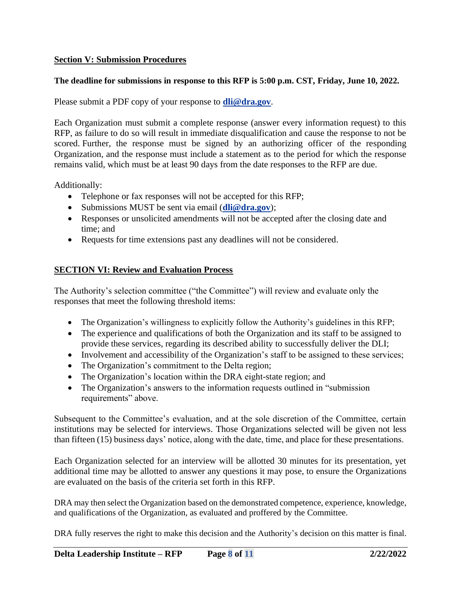# **Section V: Submission Procedures**

# **The deadline for submissions in response to this RFP is 5:00 p.m. CST, Friday, June 10, 2022.**

Please submit a PDF copy of your response to **[dli@dra.gov](mailto:dli@dra.gov)**.

Each Organization must submit a complete response (answer every information request) to this RFP, as failure to do so will result in immediate disqualification and cause the response to not be scored. Further, the response must be signed by an authorizing officer of the responding Organization, and the response must include a statement as to the period for which the response remains valid, which must be at least 90 days from the date responses to the RFP are due.

Additionally:

- Telephone or fax responses will not be accepted for this RFP;
- Submissions MUST be sent via email (**[dli@dra.gov](mailto:dli@dra.gov)**);
- Responses or unsolicited amendments will not be accepted after the closing date and time; and
- Requests for time extensions past any deadlines will not be considered.

# **SECTION VI: Review and Evaluation Process**

The Authority's selection committee ("the Committee") will review and evaluate only the responses that meet the following threshold items:

- The Organization's willingness to explicitly follow the Authority's guidelines in this RFP;
- The experience and qualifications of both the Organization and its staff to be assigned to provide these services, regarding its described ability to successfully deliver the DLI;
- Involvement and accessibility of the Organization's staff to be assigned to these services;
- The Organization's commitment to the Delta region;
- The Organization's location within the DRA eight-state region; and
- The Organization's answers to the information requests outlined in "submission requirements" above.

Subsequent to the Committee's evaluation, and at the sole discretion of the Committee, certain institutions may be selected for interviews. Those Organizations selected will be given not less than fifteen (15) business days' notice, along with the date, time, and place for these presentations.

Each Organization selected for an interview will be allotted 30 minutes for its presentation, yet additional time may be allotted to answer any questions it may pose, to ensure the Organizations are evaluated on the basis of the criteria set forth in this RFP.

DRA may then select the Organization based on the demonstrated competence, experience, knowledge, and qualifications of the Organization, as evaluated and proffered by the Committee.

DRA fully reserves the right to make this decision and the Authority's decision on this matter is final.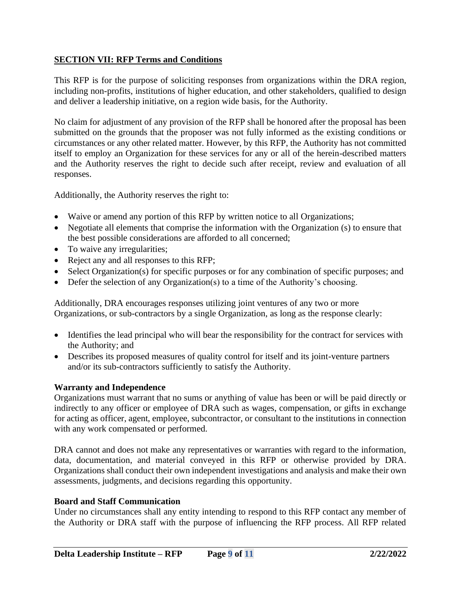# **SECTION VII: RFP Terms and Conditions**

This RFP is for the purpose of soliciting responses from organizations within the DRA region, including non-profits, institutions of higher education, and other stakeholders, qualified to design and deliver a leadership initiative, on a region wide basis, for the Authority.

No claim for adjustment of any provision of the RFP shall be honored after the proposal has been submitted on the grounds that the proposer was not fully informed as the existing conditions or circumstances or any other related matter. However, by this RFP, the Authority has not committed itself to employ an Organization for these services for any or all of the herein-described matters and the Authority reserves the right to decide such after receipt, review and evaluation of all responses.

Additionally, the Authority reserves the right to:

- Waive or amend any portion of this RFP by written notice to all Organizations;
- Negotiate all elements that comprise the information with the Organization (s) to ensure that the best possible considerations are afforded to all concerned;
- To waive any irregularities;
- Reject any and all responses to this RFP;
- Select Organization(s) for specific purposes or for any combination of specific purposes; and
- Defer the selection of any Organization(s) to a time of the Authority's choosing.

Additionally, DRA encourages responses utilizing joint ventures of any two or more Organizations, or sub-contractors by a single Organization, as long as the response clearly:

- Identifies the lead principal who will bear the responsibility for the contract for services with the Authority; and
- Describes its proposed measures of quality control for itself and its joint-venture partners and/or its sub-contractors sufficiently to satisfy the Authority.

# **Warranty and Independence**

Organizations must warrant that no sums or anything of value has been or will be paid directly or indirectly to any officer or employee of DRA such as wages, compensation, or gifts in exchange for acting as officer, agent, employee, subcontractor, or consultant to the institutions in connection with any work compensated or performed.

DRA cannot and does not make any representatives or warranties with regard to the information, data, documentation, and material conveyed in this RFP or otherwise provided by DRA. Organizations shall conduct their own independent investigations and analysis and make their own assessments, judgments, and decisions regarding this opportunity.

# **Board and Staff Communication**

Under no circumstances shall any entity intending to respond to this RFP contact any member of the Authority or DRA staff with the purpose of influencing the RFP process. All RFP related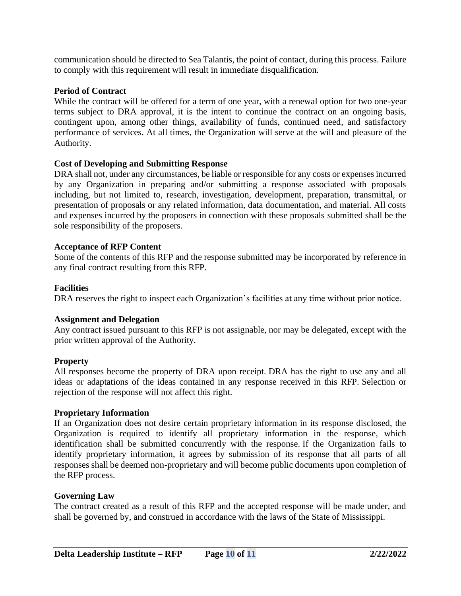communication should be directed to Sea Talantis, the point of contact, during this process. Failure to comply with this requirement will result in immediate disqualification.

## **Period of Contract**

While the contract will be offered for a term of one year, with a renewal option for two one-year terms subject to DRA approval, it is the intent to continue the contract on an ongoing basis, contingent upon, among other things, availability of funds, continued need, and satisfactory performance of services. At all times, the Organization will serve at the will and pleasure of the Authority.

## **Cost of Developing and Submitting Response**

DRA shall not, under any circumstances, be liable or responsible for any costs or expenses incurred by any Organization in preparing and/or submitting a response associated with proposals including, but not limited to, research, investigation, development, preparation, transmittal, or presentation of proposals or any related information, data documentation, and material. All costs and expenses incurred by the proposers in connection with these proposals submitted shall be the sole responsibility of the proposers.

### **Acceptance of RFP Content**

Some of the contents of this RFP and the response submitted may be incorporated by reference in any final contract resulting from this RFP.

### **Facilities**

DRA reserves the right to inspect each Organization's facilities at any time without prior notice.

### **Assignment and Delegation**

Any contract issued pursuant to this RFP is not assignable, nor may be delegated, except with the prior written approval of the Authority.

### **Property**

All responses become the property of DRA upon receipt. DRA has the right to use any and all ideas or adaptations of the ideas contained in any response received in this RFP. Selection or rejection of the response will not affect this right.

### **Proprietary Information**

If an Organization does not desire certain proprietary information in its response disclosed, the Organization is required to identify all proprietary information in the response, which identification shall be submitted concurrently with the response. If the Organization fails to identify proprietary information, it agrees by submission of its response that all parts of all responses shall be deemed non-proprietary and will become public documents upon completion of the RFP process.

### **Governing Law**

The contract created as a result of this RFP and the accepted response will be made under, and shall be governed by, and construed in accordance with the laws of the State of Mississippi.